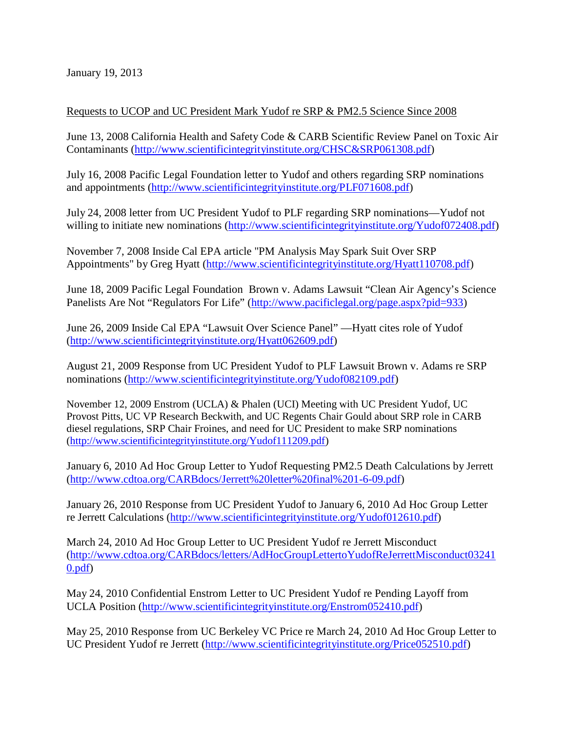January 19, 2013

## Requests to UCOP and UC President Mark Yudof re SRP & PM2.5 Science Since 2008

June 13, 2008 California Health and Safety Code & CARB Scientific Review Panel on Toxic Air Contaminants [\(http://www.scientificintegrityinstitute.org/CHSC&SRP061308.pdf\)](http://www.scientificintegrityinstitute.org/CHSC%26SRP061308.pdf)

July 16, 2008 Pacific Legal Foundation letter to Yudof and others regarding SRP nominations and appointments [\(http://www.scientificintegrityinstitute.org/PLF071608.pdf\)](http://www.scientificintegrityinstitute.org/PLF071608.pdf)

July 24, 2008 letter from UC President Yudof to PLF regarding SRP nominations—Yudof not willing to initiate new nominations [\(http://www.scientificintegrityinstitute.org/Yudof072408.pdf\)](http://www.scientificintegrityinstitute.org/Yudof072408.pdf)

November 7, 2008 Inside Cal EPA article "PM Analysis May Spark Suit Over SRP Appointments" by Greg Hyatt [\(http://www.scientificintegrityinstitute.org/Hyatt110708.pdf\)](http://www.scientificintegrityinstitute.org/Hyatt110708.pdf)

June 18, 2009 Pacific Legal Foundation Brown v. Adams Lawsuit "Clean Air Agency's Science Panelists Are Not "Regulators For Life" [\(http://www.pacificlegal.org/page.aspx?pid=933\)](http://www.pacificlegal.org/page.aspx?pid=933)

June 26, 2009 Inside Cal EPA "Lawsuit Over Science Panel" —Hyatt cites role of Yudof [\(http://www.scientificintegrityinstitute.org/Hyatt062609.pdf\)](http://www.scientificintegrityinstitute.org/Hyatt062609.pdf)

August 21, 2009 Response from UC President Yudof to PLF Lawsuit Brown v. Adams re SRP nominations [\(http://www.scientificintegrityinstitute.org/Yudof082109.pdf\)](http://www.scientificintegrityinstitute.org/Yudof072408.pdf)

November 12, 2009 Enstrom (UCLA) & Phalen (UCI) Meeting with UC President Yudof, UC Provost Pitts, UC VP Research Beckwith, and UC Regents Chair Gould about SRP role in CARB diesel regulations, SRP Chair Froines, and need for UC President to make SRP nominations [\(http://www.scientificintegrityinstitute.org/Yudof111209.pdf\)](http://www.scientificintegrityinstitute.org/Yudof111209.pdf)

January 6, 2010 Ad Hoc Group Letter to Yudof Requesting PM2.5 Death Calculations by Jerrett [\(http://www.cdtoa.org/CARBdocs/Jerrett%20letter%20final%201-6-09.pdf\)](http://www.cdtoa.org/CARBdocs/Jerrett%20letter%20final%201-6-09.pdf)

January 26, 2010 Response from UC President Yudof to January 6, 2010 Ad Hoc Group Letter re Jerrett Calculations [\(http://www.scientificintegrityinstitute.org/Yudof012610.pdf\)](http://www.scientificintegrityinstitute.org/Yudof072408.pdf)

March 24, 2010 Ad Hoc Group Letter to UC President Yudof re Jerrett Misconduct [\(http://www.cdtoa.org/CARBdocs/letters/AdHocGroupLettertoYudofReJerrettMisconduct03241](http://www.cdtoa.org/CARBdocs/letters/AdHocGroupLettertoYudofReJerrettMisconduct032410.pdf) [0.pdf\)](http://www.cdtoa.org/CARBdocs/letters/AdHocGroupLettertoYudofReJerrettMisconduct032410.pdf)

May 24, 2010 Confidential Enstrom Letter to UC President Yudof re Pending Layoff from UCLA Position [\(http://www.scientificintegrityinstitute.org/Enstrom052410.pdf\)](http://www.scientificintegrityinstitute.org/Enstrom052410.pdf)

May 25, 2010 Response from UC Berkeley VC Price re March 24, 2010 Ad Hoc Group Letter to UC President Yudof re Jerrett [\(http://www.scientificintegrityinstitute.org/Price052510.pdf\)](http://www.scientificintegrityinstitute.org/Price052510.pdf)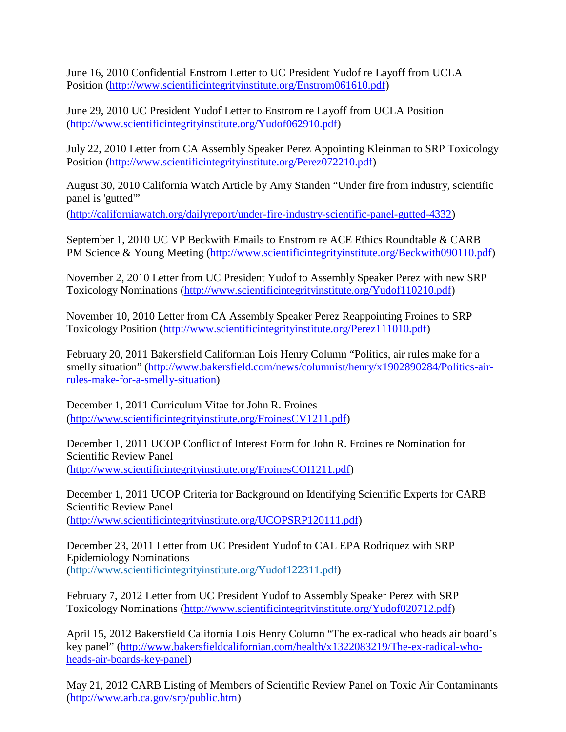June 16, 2010 Confidential Enstrom Letter to UC President Yudof re Layoff from UCLA Position [\(http://www.scientificintegrityinstitute.org/Enstrom061610.pdf\)](http://www.scientificintegrityinstitute.org/Enstrom061610.pdf)

June 29, 2010 UC President Yudof Letter to Enstrom re Layoff from UCLA Position [\(http://www.scientificintegrityinstitute.org/Yudof062910.pdf\)](http://www.scientificintegrityinstitute.org/Yudof062910.pdf)

July 22, 2010 Letter from CA Assembly Speaker Perez Appointing Kleinman to SRP Toxicology Position [\(http://www.scientificintegrityinstitute.org/Perez072210.pdf\)](http://www.scientificintegrityinstitute.org/Perez072210.pdf)

August 30, 2010 California Watch Article by Amy Standen "Under fire from industry, scientific panel is 'gutted"

[\(http://californiawatch.org/dailyreport/under-fire-industry-scientific-panel-gutted-4332\)](http://californiawatch.org/dailyreport/under-fire-industry-scientific-panel-gutted-4332)

September 1, 2010 UC VP Beckwith Emails to Enstrom re ACE Ethics Roundtable & CARB PM Science & Young Meeting [\(http://www.scientificintegrityinstitute.org/Beckwith090110.pdf\)](http://www.scientificintegrityinstitute.org/Beckwith090110.pdf)

November 2, 2010 Letter from UC President Yudof to Assembly Speaker Perez with new SRP Toxicology Nominations [\(http://www.scientificintegrityinstitute.org/Yudof110210.pdf\)](http://www.scientificintegrityinstitute.org/Yudof110210.pdf)

November 10, 2010 Letter from CA Assembly Speaker Perez Reappointing Froines to SRP Toxicology Position [\(http://www.scientificintegrityinstitute.org/Perez111010.pdf\)](http://www.scientificintegrityinstitute.org/Perez111010.pdf)

February 20, 2011 Bakersfield Californian Lois Henry Column "Politics, air rules make for a smelly situation" [\(http://www.bakersfield.com/news/columnist/henry/x1902890284/Politics-air](http://www.bakersfield.com/news/columnist/henry/x1902890284/Politics-air-rules-make-for-a-smelly-situation)[rules-make-for-a-smelly-situation\)](http://www.bakersfield.com/news/columnist/henry/x1902890284/Politics-air-rules-make-for-a-smelly-situation)

December 1, 2011 Curriculum Vitae for John R. Froines [\(http://www.scientificintegrityinstitute.org/FroinesCV1211.pdf\)](http://www.scientificintegrityinstitute.org/FroinesCV1211.pdf)

December 1, 2011 UCOP Conflict of Interest Form for John R. Froines re Nomination for Scientific Review Panel [\(http://www.scientificintegrityinstitute.org/FroinesCOI1211.pdf\)](http://www.scientificintegrityinstitute.org/FroinesCOI1211.pdf)

December 1, 2011 UCOP Criteria for Background on Identifying Scientific Experts for CARB Scientific Review Panel [\(http://www.scientificintegrityinstitute.org/UCOPSRP120111.pdf\)](http://www.scientificintegrityinstitute.org/UCOPSRP120111.pdf)

December 23, 2011 Letter from UC President Yudof to CAL EPA Rodriquez with SRP Epidemiology Nominations [\(http://www.scientificintegrityinstitute.org/Yudof122311.pdf\)](http://www.scientificintegrityinstitute.org/Yudof122311.pdf)

February 7, 2012 Letter from UC President Yudof to Assembly Speaker Perez with SRP Toxicology Nominations [\(http://www.scientificintegrityinstitute.org/Yudof020712.pdf\)](http://www.scientificintegrityinstitute.org/Yudof020712.pdf)

April 15, 2012 Bakersfield California Lois Henry Column "The ex-radical who heads air board's key panel" [\(http://www.bakersfieldcalifornian.com/health/x1322083219/The-ex-radical-who](http://www.bakersfieldcalifornian.com/health/x1322083219/The-ex-radical-who-heads-air-boards-key-panel)[heads-air-boards-key-panel\)](http://www.bakersfieldcalifornian.com/health/x1322083219/The-ex-radical-who-heads-air-boards-key-panel)

May 21, 2012 CARB Listing of Members of Scientific Review Panel on Toxic Air Contaminants [\(http://www.arb.ca.gov/srp/public.htm\)](http://www.arb.ca.gov/srp/public.htm)